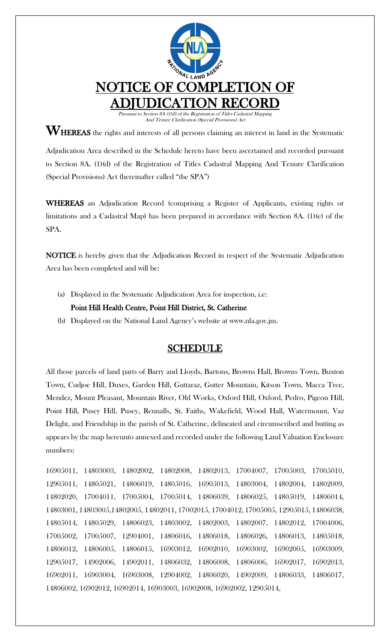

 $\mathbf{W}_{\text{HEREAS}}$  the rights and interests of all persons claiming an interest in land in the Systematic Adjudication Area described in the Schedule hereto have been ascertained and recorded pursuant to Section 8A. (1)(d) of the Registration of Titles Cadastral Mapping And Tenure Clarification (Special Provisions) Act (hereinafter called "the SPA")

WHEREAS an Adjudication Record (comprising a Register of Applicants, existing rights or limitations and a Cadastral Map) has been prepared in accordance with Section 8A. (1)(e) of the SPA.

NOTICE is hereby given that the Adjudication Record in respect of the Systematic Adjudication Area has been completed and will be:

- (a) Displayed in the Systematic Adjudication Area for inspection, i.e: Point Hill Health Centre, Point Hill District, St. Catherine
- (b) Displayed on the National Land Agency's website at www.nla.gov.jm.

## SCHEDULE

All those parcels of land parts of Barry and Lloyds, Bartons, Browns Hall, Browns Town, Buxton Town, Cudjoe Hill, Duxes, Garden Hill, Guttaraz, Gutter Mountain, Kitson Town, Macca Tree, Mendez, Mount Pleasant, Mountain River, Old Works, Oxford Hill, Oxford, Pedro, Pigeon Hill, Point Hill, Pusey Hill, Pusey, Rennalls, St. Faiths, Wakefield, Wood Hall, Watermount, Vaz Delight, and Friendship in the parish of St. Catherine, delineated and circumscribed and butting as appears by the map hereunto annexed and recorded under the following Land Valuation Enclosure numbers:

16905011, 14803003, 14802002, 14802008, 14802013, 17004007, 17005003, 17005010, 12905011, 14805021, 14806019, 14805016, 16905013, 14803004, 14802004, 14802009, 14802020, 17004011, 17005004, 17005014, 14806039, 14806025, 14805019, 14806014, 14803001, 14803005,14802005, 14802011, 17002015, 17004012, 17005005, 12905015, 14806038, 14805014, 14805029, 14806023, 14803002, 14802003, 14802007, 14802012, 17004006, 17005002, 17005007, 12904001, 14806016, 14806018, 14806026, 14806013, 14805018, 14806012, 14806005, 14806015, 16903012, 16902010, 16903002, 16902005, 16903009, 12905017, 14902006, 14902011, 14806032, 14806008, 14806006, 16902017, 16902013, 16902011, 16903004, 16903008, 12904002, 14806020, 14902009, 14806033, 14806017, 14806002, 16902012, 16902014, 16903003, 16902008, 16902002, 12905014,